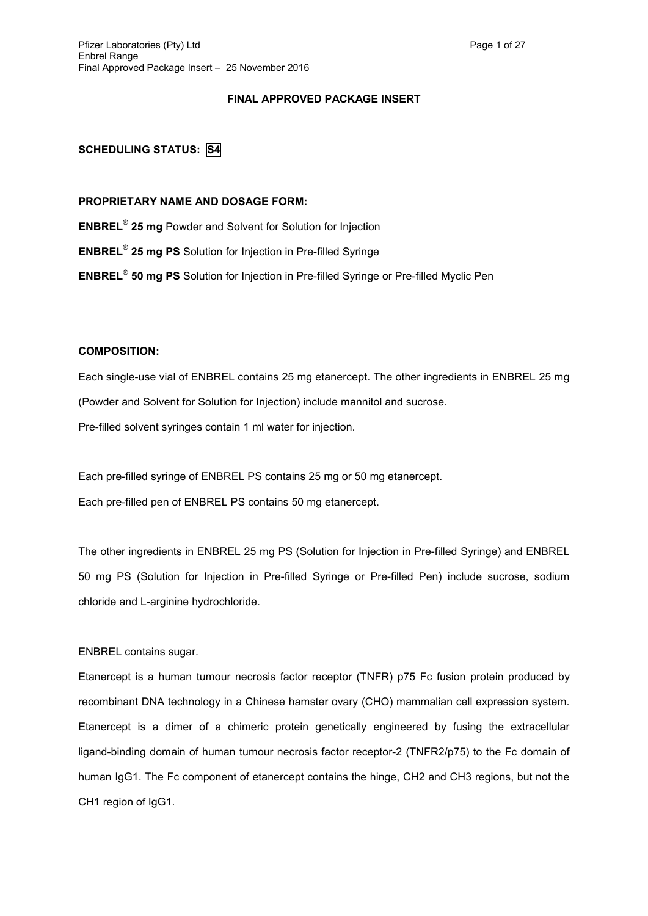## **FINAL APPROVED PACKAGE INSERT**

# **SCHEDULING STATUS: S4**

## **PROPRIETARY NAME AND DOSAGE FORM:**

**ENBREL® 25 mg** Powder and Solvent for Solution for Injection

**ENBREL® 25 mg PS** Solution for Injection in Pre-filled Syringe

**ENBREL® 50 mg PS** Solution for Injection in Pre-filled Syringe or Pre-filled Myclic Pen

## **COMPOSITION:**

Each single-use vial of ENBREL contains 25 mg etanercept. The other ingredients in ENBREL 25 mg (Powder and Solvent for Solution for Injection) include mannitol and sucrose. Pre-filled solvent syringes contain 1 ml water for injection.

Each pre-filled syringe of ENBREL PS contains 25 mg or 50 mg etanercept. Each pre-filled pen of ENBREL PS contains 50 mg etanercept.

The other ingredients in ENBREL 25 mg PS (Solution for Injection in Pre-filled Syringe) and ENBREL 50 mg PS (Solution for Injection in Pre-filled Syringe or Pre-filled Pen) include sucrose, sodium chloride and L-arginine hydrochloride.

## ENBREL contains sugar.

Etanercept is a human tumour necrosis factor receptor (TNFR) p75 Fc fusion protein produced by recombinant DNA technology in a Chinese hamster ovary (CHO) mammalian cell expression system. Etanercept is a dimer of a chimeric protein genetically engineered by fusing the extracellular ligand-binding domain of human tumour necrosis factor receptor-2 (TNFR2/p75) to the Fc domain of human IgG1. The Fc component of etanercept contains the hinge, CH2 and CH3 regions, but not the CH1 region of IgG1.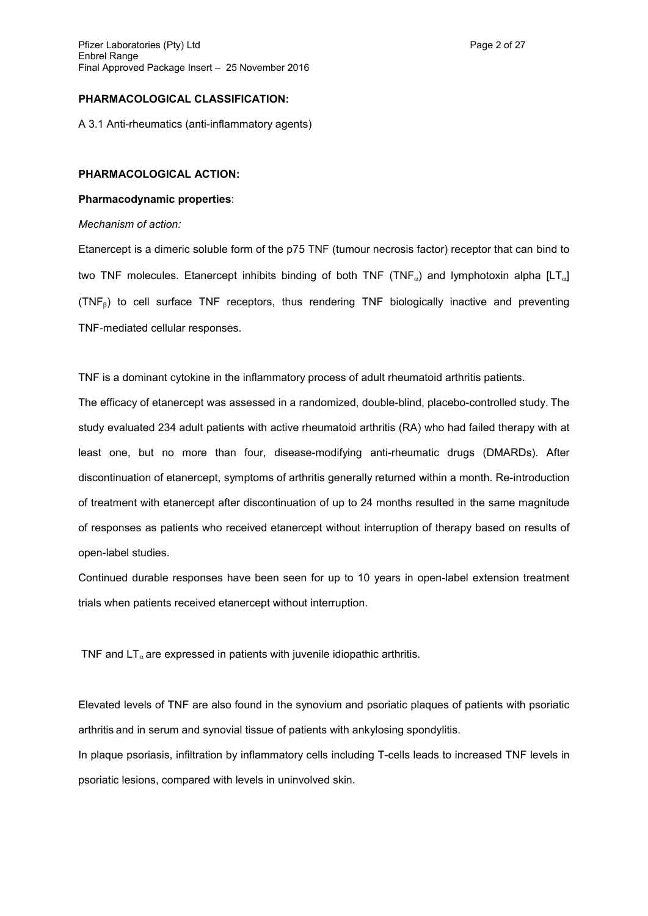## **PHARMACOLOGICAL CLASSIFICATION:**

A 3.1 Anti-rheumatics (anti-inflammatory agents)

## **PHARMACOLOGICAL ACTION:**

## **Pharmacodynamic properties**:

#### *Mechanism of action:*

Etanercept is a dimeric soluble form of the p75 TNF (tumour necrosis factor) receptor that can bind to two TNF molecules. Etanercept inhibits binding of both TNF (TNF<sub>a</sub>) and lymphotoxin alpha [LT<sub>a</sub>]  $(TNF<sub>6</sub>)$  to cell surface TNF receptors, thus rendering TNF biologically inactive and preventing TNF-mediated cellular responses.

TNF is a dominant cytokine in the inflammatory process of adult rheumatoid arthritis patients.

The efficacy of etanercept was assessed in a randomized, double-blind, placebo-controlled study. The study evaluated 234 adult patients with active rheumatoid arthritis (RA) who had failed therapy with at least one, but no more than four, disease-modifying anti-rheumatic drugs (DMARDs). After discontinuation of etanercept, symptoms of arthritis generally returned within a month. Re-introduction of treatment with etanercept after discontinuation of up to 24 months resulted in the same magnitude of responses as patients who received etanercept without interruption of therapy based on results of open-label studies.

Continued durable responses have been seen for up to 10 years in open-label extension treatment trials when patients received etanercept without interruption.

TNF and  $LT_{\alpha}$  are expressed in patients with juvenile idiopathic arthritis.

Elevated levels of TNF are also found in the synovium and psoriatic plaques of patients with psoriatic arthritis and in serum and synovial tissue of patients with ankylosing spondylitis.

In plaque psoriasis, infiltration by inflammatory cells including T-cells leads to increased TNF levels in psoriatic lesions, compared with levels in uninvolved skin.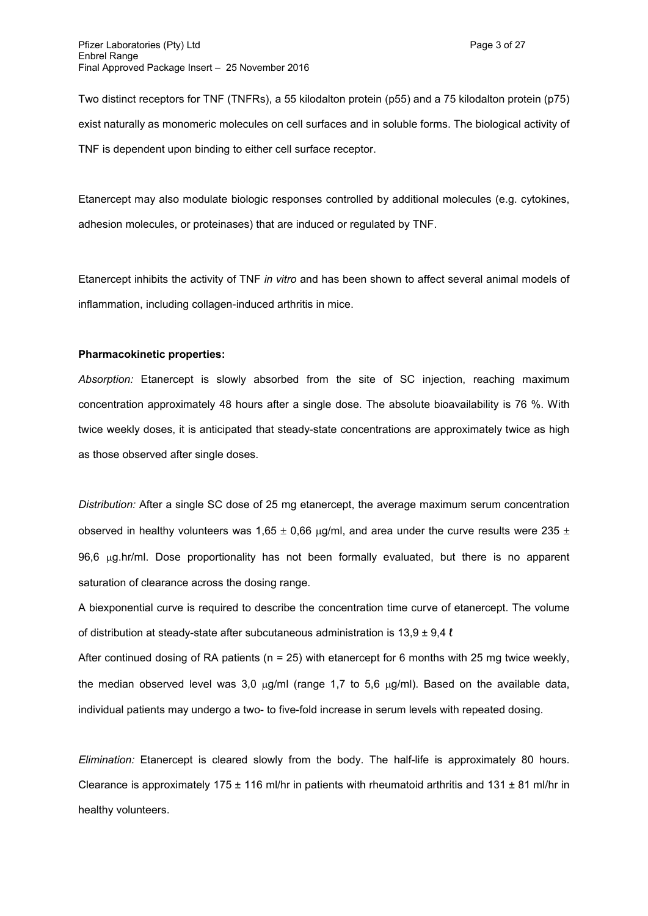Two distinct receptors for TNF (TNFRs), a 55 kilodalton protein (p55) and a 75 kilodalton protein (p75) exist naturally as monomeric molecules on cell surfaces and in soluble forms. The biological activity of TNF is dependent upon binding to either cell surface receptor.

Etanercept may also modulate biologic responses controlled by additional molecules (e.g. cytokines, adhesion molecules, or proteinases) that are induced or regulated by TNF.

Etanercept inhibits the activity of TNF *in vitro* and has been shown to affect several animal models of inflammation, including collagen-induced arthritis in mice.

## **Pharmacokinetic properties:**

*Absorption:* Etanercept is slowly absorbed from the site of SC injection, reaching maximum concentration approximately 48 hours after a single dose. The absolute bioavailability is 76 %. With twice weekly doses, it is anticipated that steady-state concentrations are approximately twice as high as those observed after single doses.

*Distribution:* After a single SC dose of 25 mg etanercept, the average maximum serum concentration observed in healthy volunteers was 1,65  $\pm$  0,66  $\mu$ g/ml, and area under the curve results were 235  $\pm$ 96.6 ug.hr/ml. Dose proportionality has not been formally evaluated, but there is no apparent saturation of clearance across the dosing range.

A biexponential curve is required to describe the concentration time curve of etanercept. The volume of distribution at steady-state after subcutaneous administration is  $13.9 \pm 9.4$   $\ell$ 

After continued dosing of RA patients ( $n = 25$ ) with etanercept for 6 months with 25 mg twice weekly, the median observed level was 3,0  $\mu$ g/ml (range 1,7 to 5,6  $\mu$ g/ml). Based on the available data, individual patients may undergo a two- to five-fold increase in serum levels with repeated dosing.

*Elimination:* Etanercept is cleared slowly from the body. The half-life is approximately 80 hours. Clearance is approximately 175  $\pm$  116 ml/hr in patients with rheumatoid arthritis and 131  $\pm$  81 ml/hr in healthy volunteers.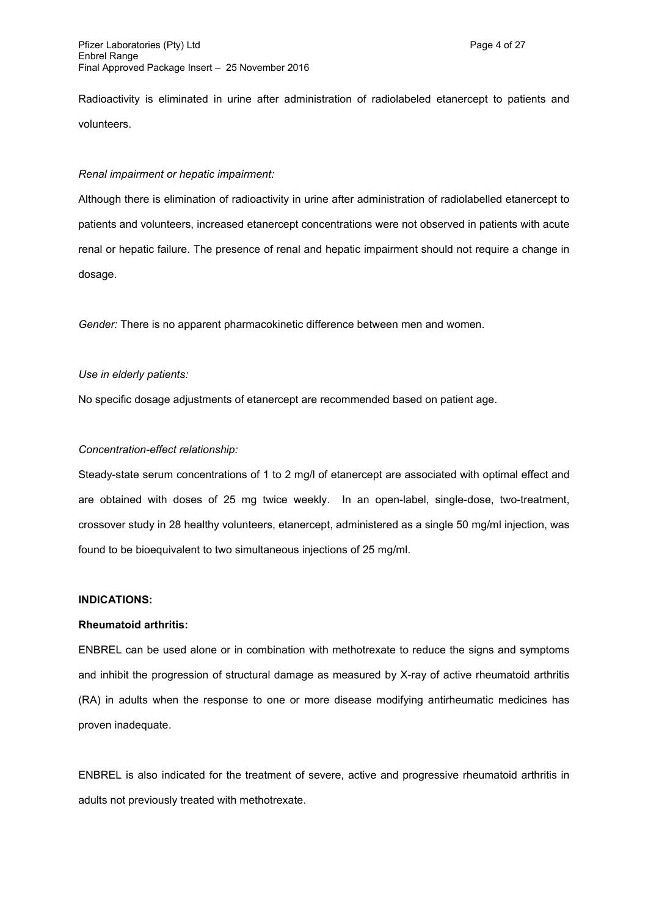Radioactivity is eliminated in urine after administration of radiolabeled etanercept to patients and volunteers.

## *Renal impairment or hepatic impairment:*

Although there is elimination of radioactivity in urine after administration of radiolabelled etanercept to patients and volunteers, increased etanercept concentrations were not observed in patients with acute renal or hepatic failure. The presence of renal and hepatic impairment should not require a change in dosage.

*Gender:* There is no apparent pharmacokinetic difference between men and women.

## *Use in elderly patients:*

No specific dosage adjustments of etanercept are recommended based on patient age.

## *Concentration-effect relationship:*

Steady-state serum concentrations of 1 to 2 mg/l of etanercept are associated with optimal effect and are obtained with doses of 25 mg twice weekly. In an open-label, single-dose, two-treatment, crossover study in 28 healthy volunteers, etanercept, administered as a single 50 mg/ml injection, was found to be bioequivalent to two simultaneous injections of 25 mg/ml.

#### **INDICATIONS:**

#### **Rheumatoid arthritis:**

ENBREL can be used alone or in combination with methotrexate to reduce the signs and symptoms and inhibit the progression of structural damage as measured by X-ray of active rheumatoid arthritis (RA) in adults when the response to one or more disease modifying antirheumatic medicines has proven inadequate.

ENBREL is also indicated for the treatment of severe, active and progressive rheumatoid arthritis in adults not previously treated with methotrexate.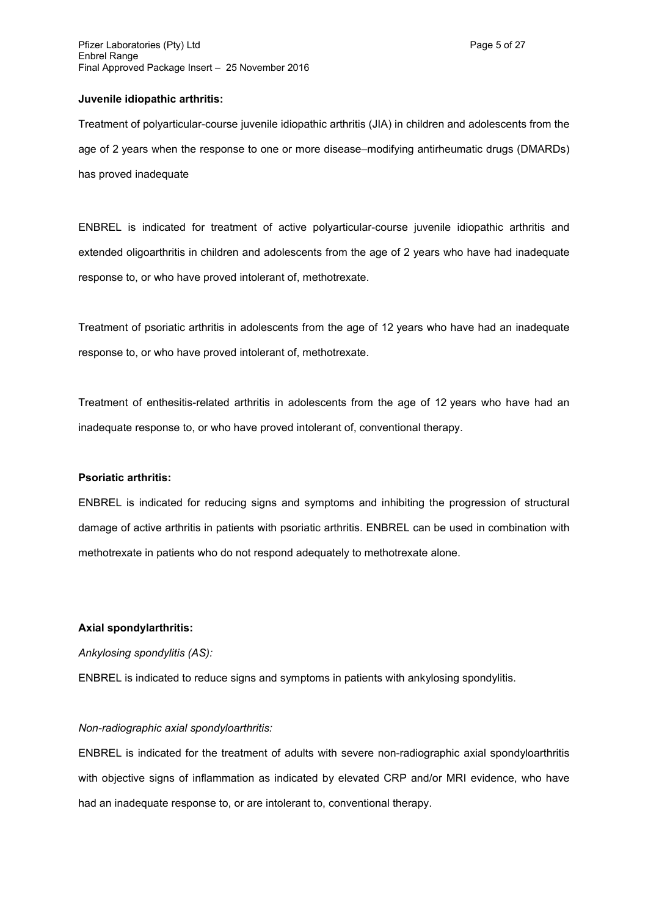#### **Juvenile idiopathic arthritis:**

Treatment of polyarticular-course juvenile idiopathic arthritis (JIA) in children and adolescents from the age of 2 years when the response to one or more disease–modifying antirheumatic drugs (DMARDs) has proved inadequate

ENBREL is indicated for treatment of active polyarticular-course juvenile idiopathic arthritis and extended oligoarthritis in children and adolescents from the age of 2 years who have had inadequate response to, or who have proved intolerant of, methotrexate.

Treatment of psoriatic arthritis in adolescents from the age of 12 years who have had an inadequate response to, or who have proved intolerant of, methotrexate.

Treatment of enthesitis-related arthritis in adolescents from the age of 12 years who have had an inadequate response to, or who have proved intolerant of, conventional therapy.

#### **Psoriatic arthritis:**

ENBREL is indicated for reducing signs and symptoms and inhibiting the progression of structural damage of active arthritis in patients with psoriatic arthritis. ENBREL can be used in combination with methotrexate in patients who do not respond adequately to methotrexate alone.

#### **Axial spondylarthritis:**

#### *Ankylosing spondylitis (AS):*

ENBREL is indicated to reduce signs and symptoms in patients with ankylosing spondylitis.

#### *Non-radiographic axial spondyloarthritis:*

ENBREL is indicated for the treatment of adults with severe non-radiographic axial spondyloarthritis with objective signs of inflammation as indicated by elevated CRP and/or MRI evidence, who have had an inadequate response to, or are intolerant to, conventional therapy.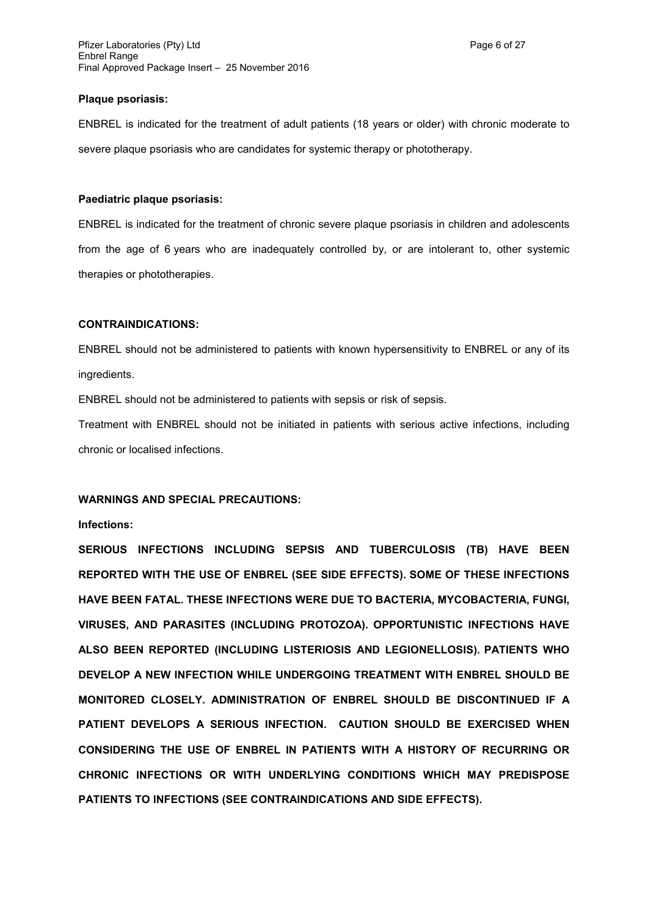#### **Plaque psoriasis:**

ENBREL is indicated for the treatment of adult patients (18 years or older) with chronic moderate to severe plaque psoriasis who are candidates for systemic therapy or phototherapy.

## **Paediatric plaque psoriasis:**

ENBREL is indicated for the treatment of chronic severe plaque psoriasis in children and adolescents from the age of 6 years who are inadequately controlled by, or are intolerant to, other systemic therapies or phototherapies.

## **CONTRAINDICATIONS:**

ENBREL should not be administered to patients with known hypersensitivity to ENBREL or any of its ingredients.

ENBREL should not be administered to patients with sepsis or risk of sepsis.

Treatment with ENBREL should not be initiated in patients with serious active infections, including chronic or localised infections.

## **WARNINGS AND SPECIAL PRECAUTIONS:**

#### **Infections:**

**SERIOUS INFECTIONS INCLUDING SEPSIS AND TUBERCULOSIS (TB) HAVE BEEN REPORTED WITH THE USE OF ENBREL (SEE SIDE EFFECTS). SOME OF THESE INFECTIONS HAVE BEEN FATAL. THESE INFECTIONS WERE DUE TO BACTERIA, MYCOBACTERIA, FUNGI, VIRUSES, AND PARASITES (INCLUDING PROTOZOA). OPPORTUNISTIC INFECTIONS HAVE ALSO BEEN REPORTED (INCLUDING LISTERIOSIS AND LEGIONELLOSIS). PATIENTS WHO DEVELOP A NEW INFECTION WHILE UNDERGOING TREATMENT WITH ENBREL SHOULD BE MONITORED CLOSELY. ADMINISTRATION OF ENBREL SHOULD BE DISCONTINUED IF A PATIENT DEVELOPS A SERIOUS INFECTION. CAUTION SHOULD BE EXERCISED WHEN CONSIDERING THE USE OF ENBREL IN PATIENTS WITH A HISTORY OF RECURRING OR CHRONIC INFECTIONS OR WITH UNDERLYING CONDITIONS WHICH MAY PREDISPOSE PATIENTS TO INFECTIONS (SEE CONTRAINDICATIONS AND SIDE EFFECTS).**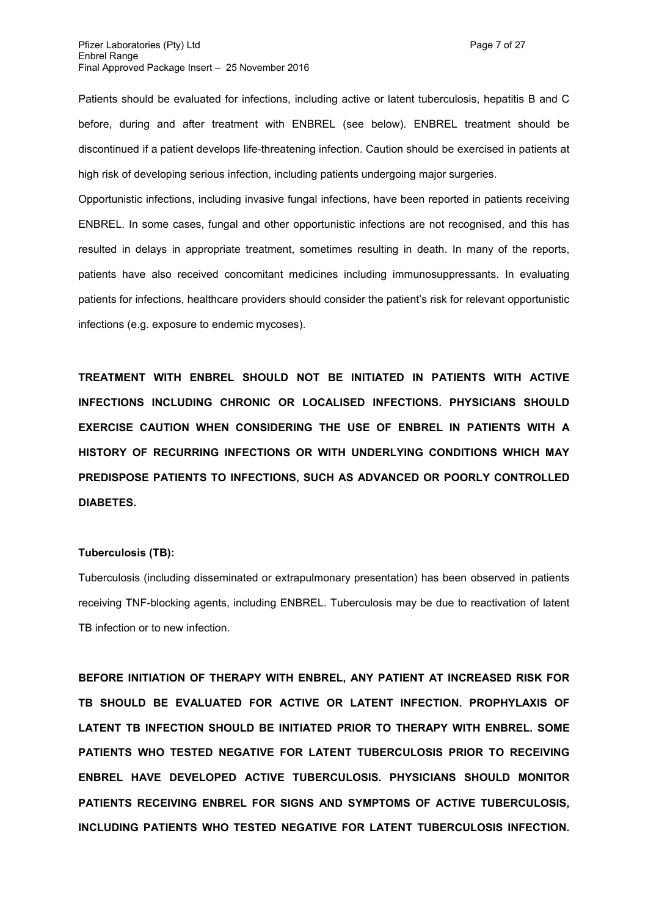Patients should be evaluated for infections, including active or latent tuberculosis, hepatitis B and C before, during and after treatment with ENBREL (see below). ENBREL treatment should be discontinued if a patient develops life-threatening infection. Caution should be exercised in patients at high risk of developing serious infection, including patients undergoing major surgeries.

Opportunistic infections, including invasive fungal infections, have been reported in patients receiving ENBREL. In some cases, fungal and other opportunistic infections are not recognised, and this has resulted in delays in appropriate treatment, sometimes resulting in death. In many of the reports, patients have also received concomitant medicines including immunosuppressants. In evaluating patients for infections, healthcare providers should consider the patient's risk for relevant opportunistic infections (e.g. exposure to endemic mycoses).

**TREATMENT WITH ENBREL SHOULD NOT BE INITIATED IN PATIENTS WITH ACTIVE INFECTIONS INCLUDING CHRONIC OR LOCALISED INFECTIONS. PHYSICIANS SHOULD EXERCISE CAUTION WHEN CONSIDERING THE USE OF ENBREL IN PATIENTS WITH A HISTORY OF RECURRING INFECTIONS OR WITH UNDERLYING CONDITIONS WHICH MAY PREDISPOSE PATIENTS TO INFECTIONS, SUCH AS ADVANCED OR POORLY CONTROLLED DIABETES.**

## **Tuberculosis (TB):**

Tuberculosis (including disseminated or extrapulmonary presentation) has been observed in patients receiving TNF-blocking agents, including ENBREL. Tuberculosis may be due to reactivation of latent TB infection or to new infection.

**BEFORE INITIATION OF THERAPY WITH ENBREL, ANY PATIENT AT INCREASED RISK FOR TB SHOULD BE EVALUATED FOR ACTIVE OR LATENT INFECTION. PROPHYLAXIS OF LATENT TB INFECTION SHOULD BE INITIATED PRIOR TO THERAPY WITH ENBREL. SOME PATIENTS WHO TESTED NEGATIVE FOR LATENT TUBERCULOSIS PRIOR TO RECEIVING ENBREL HAVE DEVELOPED ACTIVE TUBERCULOSIS. PHYSICIANS SHOULD MONITOR PATIENTS RECEIVING ENBREL FOR SIGNS AND SYMPTOMS OF ACTIVE TUBERCULOSIS, INCLUDING PATIENTS WHO TESTED NEGATIVE FOR LATENT TUBERCULOSIS INFECTION.**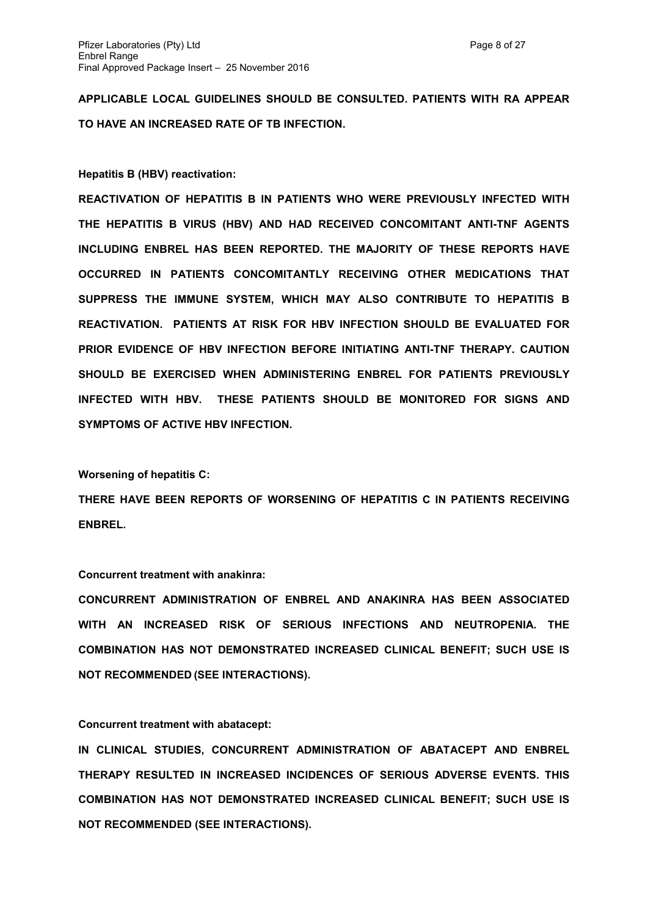**APPLICABLE LOCAL GUIDELINES SHOULD BE CONSULTED. PATIENTS WITH RA APPEAR TO HAVE AN INCREASED RATE OF TB INFECTION.**

#### **Hepatitis B (HBV) reactivation:**

**REACTIVATION OF HEPATITIS B IN PATIENTS WHO WERE PREVIOUSLY INFECTED WITH THE HEPATITIS B VIRUS (HBV) AND HAD RECEIVED CONCOMITANT ANTI-TNF AGENTS INCLUDING ENBREL HAS BEEN REPORTED. THE MAJORITY OF THESE REPORTS HAVE OCCURRED IN PATIENTS CONCOMITANTLY RECEIVING OTHER MEDICATIONS THAT SUPPRESS THE IMMUNE SYSTEM, WHICH MAY ALSO CONTRIBUTE TO HEPATITIS B REACTIVATION. PATIENTS AT RISK FOR HBV INFECTION SHOULD BE EVALUATED FOR PRIOR EVIDENCE OF HBV INFECTION BEFORE INITIATING ANTI-TNF THERAPY. CAUTION SHOULD BE EXERCISED WHEN ADMINISTERING ENBREL FOR PATIENTS PREVIOUSLY INFECTED WITH HBV. THESE PATIENTS SHOULD BE MONITORED FOR SIGNS AND SYMPTOMS OF ACTIVE HBV INFECTION.** 

#### **Worsening of hepatitis C:**

**THERE HAVE BEEN REPORTS OF WORSENING OF HEPATITIS C IN PATIENTS RECEIVING ENBREL.**

## **Concurrent treatment with anakinra:**

**CONCURRENT ADMINISTRATION OF ENBREL AND ANAKINRA HAS BEEN ASSOCIATED WITH AN INCREASED RISK OF SERIOUS INFECTIONS AND NEUTROPENIA. THE COMBINATION HAS NOT DEMONSTRATED INCREASED CLINICAL BENEFIT; SUCH USE IS NOT RECOMMENDED (SEE INTERACTIONS).**

## **Concurrent treatment with abatacept:**

**IN CLINICAL STUDIES, CONCURRENT ADMINISTRATION OF ABATACEPT AND ENBREL THERAPY RESULTED IN INCREASED INCIDENCES OF SERIOUS ADVERSE EVENTS. THIS COMBINATION HAS NOT DEMONSTRATED INCREASED CLINICAL BENEFIT; SUCH USE IS NOT RECOMMENDED (SEE INTERACTIONS).**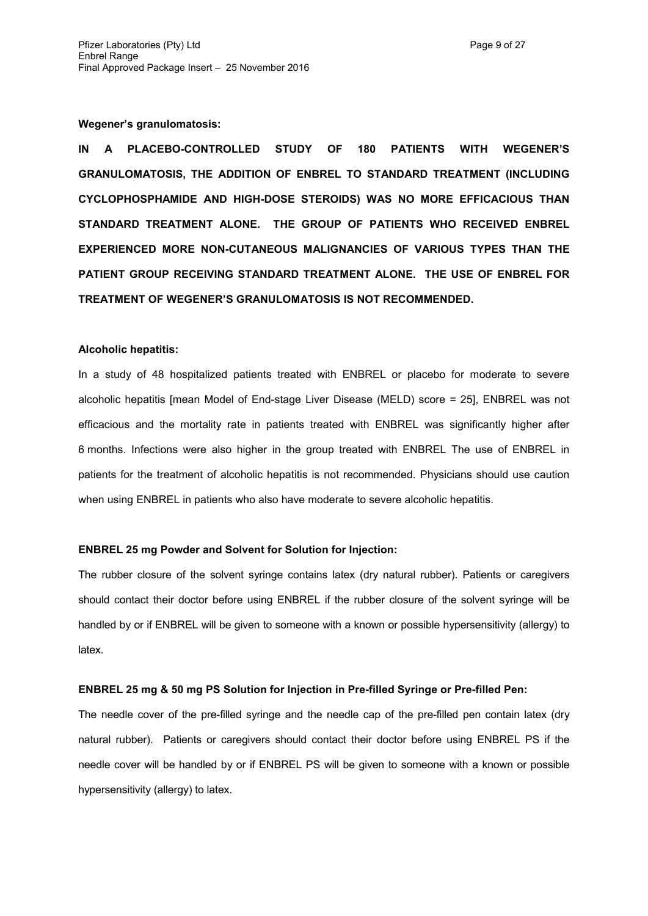**Wegener's granulomatosis:** 

**IN A PLACEBO-CONTROLLED STUDY OF 180 PATIENTS WITH WEGENER'S GRANULOMATOSIS, THE ADDITION OF ENBREL TO STANDARD TREATMENT (INCLUDING CYCLOPHOSPHAMIDE AND HIGH-DOSE STEROIDS) WAS NO MORE EFFICACIOUS THAN STANDARD TREATMENT ALONE. THE GROUP OF PATIENTS WHO RECEIVED ENBREL EXPERIENCED MORE NON-CUTANEOUS MALIGNANCIES OF VARIOUS TYPES THAN THE PATIENT GROUP RECEIVING STANDARD TREATMENT ALONE. THE USE OF ENBREL FOR TREATMENT OF WEGENER'S GRANULOMATOSIS IS NOT RECOMMENDED.**

## **Alcoholic hepatitis:**

In a study of 48 hospitalized patients treated with ENBREL or placebo for moderate to severe alcoholic hepatitis [mean Model of End-stage Liver Disease (MELD) score = 25], ENBREL was not efficacious and the mortality rate in patients treated with ENBREL was significantly higher after 6 months. Infections were also higher in the group treated with ENBREL The use of ENBREL in patients for the treatment of alcoholic hepatitis is not recommended. Physicians should use caution when using ENBREL in patients who also have moderate to severe alcoholic hepatitis.

#### **ENBREL 25 mg Powder and Solvent for Solution for Injection:**

The rubber closure of the solvent syringe contains latex (dry natural rubber). Patients or caregivers should contact their doctor before using ENBREL if the rubber closure of the solvent syringe will be handled by or if ENBREL will be given to someone with a known or possible hypersensitivity (allergy) to latex.

#### **ENBREL 25 mg & 50 mg PS Solution for Injection in Pre-filled Syringe or Pre-filled Pen:**

The needle cover of the pre-filled syringe and the needle cap of the pre-filled pen contain latex (dry natural rubber).Patients or caregivers should contact their doctor before using ENBREL PS if the needle cover will be handled by or if ENBREL PS will be given to someone with a known or possible hypersensitivity (allergy) to latex.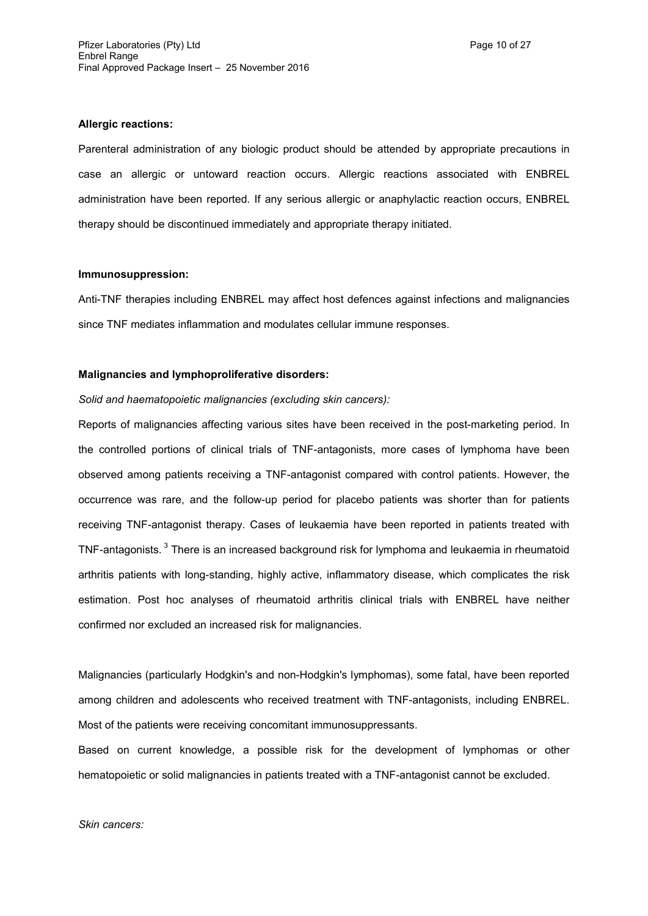## **Allergic reactions:**

Parenteral administration of any biologic product should be attended by appropriate precautions in case an allergic or untoward reaction occurs. Allergic reactions associated with ENBREL administration have been reported. If any serious allergic or anaphylactic reaction occurs, ENBREL therapy should be discontinued immediately and appropriate therapy initiated.

#### **Immunosuppression:**

Anti-TNF therapies including ENBREL may affect host defences against infections and malignancies since TNF mediates inflammation and modulates cellular immune responses.

## **Malignancies and lymphoproliferative disorders:**

*Solid and haematopoietic malignancies (excluding skin cancers):*

Reports of malignancies affecting various sites have been received in the post-marketing period. In the controlled portions of clinical trials of TNF-antagonists, more cases of lymphoma have been observed among patients receiving a TNF-antagonist compared with control patients. However, the occurrence was rare, and the follow-up period for placebo patients was shorter than for patients receiving TNF-antagonist therapy. Cases of leukaemia have been reported in patients treated with TNF-antagonists.<sup>3</sup> There is an increased background risk for lymphoma and leukaemia in rheumatoid arthritis patients with long-standing, highly active, inflammatory disease, which complicates the risk estimation. Post hoc analyses of rheumatoid arthritis clinical trials with ENBREL have neither confirmed nor excluded an increased risk for malignancies.

Malignancies (particularly Hodgkin's and non-Hodgkin's lymphomas), some fatal, have been reported among children and adolescents who received treatment with TNF-antagonists, including ENBREL. Most of the patients were receiving concomitant immunosuppressants.

Based on current knowledge, a possible risk for the development of lymphomas or other hematopoietic or solid malignancies in patients treated with a TNF-antagonist cannot be excluded.

*Skin cancers:*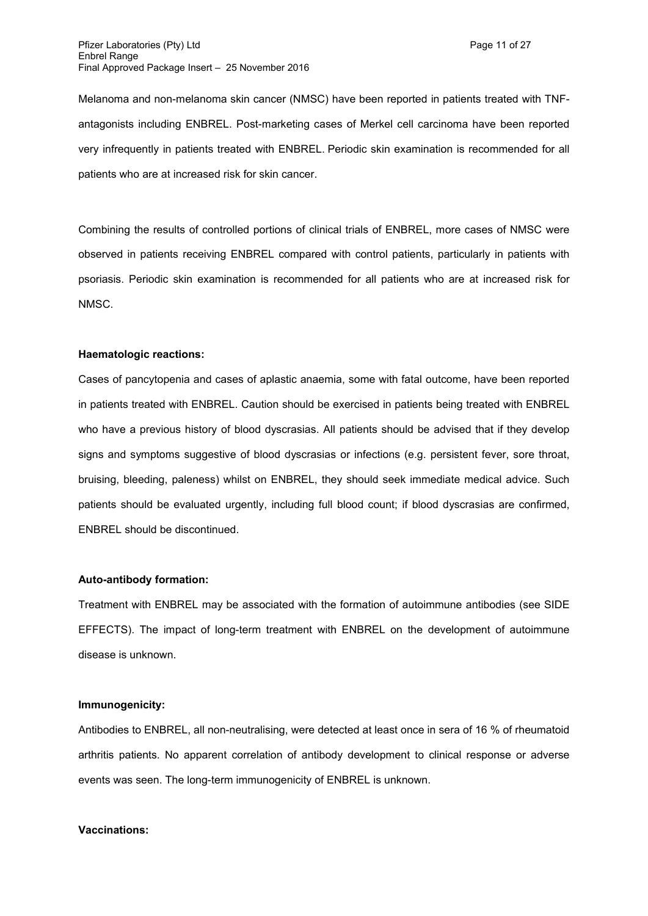Melanoma and non-melanoma skin cancer (NMSC) have been reported in patients treated with TNFantagonists including ENBREL. Post-marketing cases of Merkel cell carcinoma have been reported very infrequently in patients treated with ENBREL. Periodic skin examination is recommended for all patients who are at increased risk for skin cancer.

Combining the results of controlled portions of clinical trials of ENBREL, more cases of NMSC were observed in patients receiving ENBREL compared with control patients, particularly in patients with psoriasis. Periodic skin examination is recommended for all patients who are at increased risk for NMSC.

## **Haematologic reactions:**

Cases of pancytopenia and cases of aplastic anaemia, some with fatal outcome, have been reported in patients treated with ENBREL. Caution should be exercised in patients being treated with ENBREL who have a previous history of blood dyscrasias. All patients should be advised that if they develop signs and symptoms suggestive of blood dyscrasias or infections (e.g. persistent fever, sore throat, bruising, bleeding, paleness) whilst on ENBREL, they should seek immediate medical advice. Such patients should be evaluated urgently, including full blood count; if blood dyscrasias are confirmed, ENBREL should be discontinued.

## **Auto-antibody formation:**

Treatment with ENBREL may be associated with the formation of autoimmune antibodies (see SIDE EFFECTS). The impact of long-term treatment with ENBREL on the development of autoimmune disease is unknown.

#### **Immunogenicity:**

Antibodies to ENBREL, all non-neutralising, were detected at least once in sera of 16 % of rheumatoid arthritis patients. No apparent correlation of antibody development to clinical response or adverse events was seen. The long-term immunogenicity of ENBREL is unknown.

#### **Vaccinations:**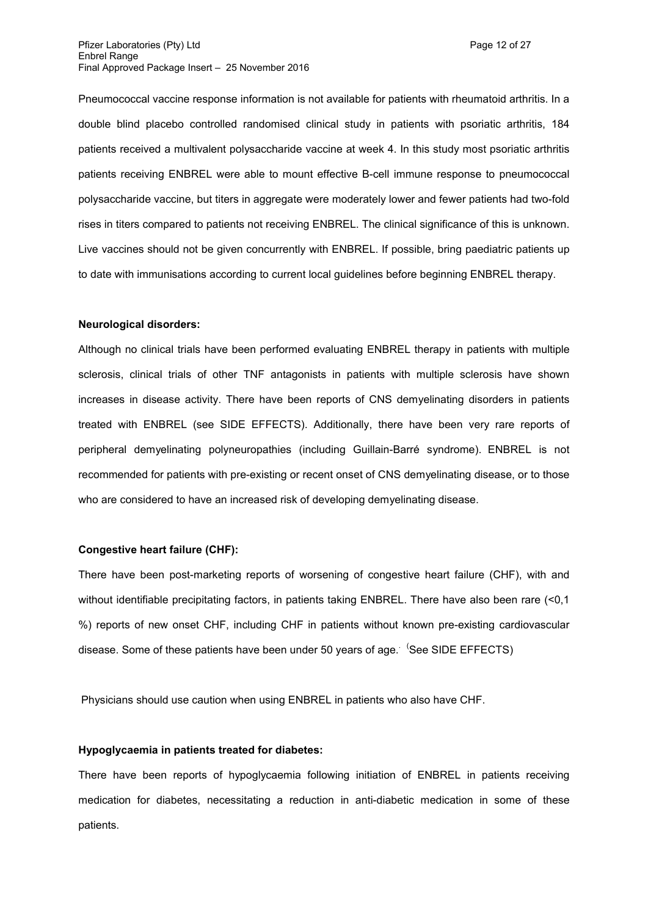Pneumococcal vaccine response information is not available for patients with rheumatoid arthritis. In a double blind placebo controlled randomised clinical study in patients with psoriatic arthritis, 184 patients received a multivalent polysaccharide vaccine at week 4. In this study most psoriatic arthritis patients receiving ENBREL were able to mount effective B-cell immune response to pneumococcal polysaccharide vaccine, but titers in aggregate were moderately lower and fewer patients had two-fold rises in titers compared to patients not receiving ENBREL. The clinical significance of this is unknown. Live vaccines should not be given concurrently with ENBREL. If possible, bring paediatric patients up to date with immunisations according to current local guidelines before beginning ENBREL therapy.

#### **Neurological disorders:**

Although no clinical trials have been performed evaluating ENBREL therapy in patients with multiple sclerosis, clinical trials of other TNF antagonists in patients with multiple sclerosis have shown increases in disease activity. There have been reports of CNS demyelinating disorders in patients treated with ENBREL (see SIDE EFFECTS). Additionally, there have been very rare reports of peripheral demyelinating polyneuropathies (including Guillain-Barré syndrome). ENBREL is not recommended for patients with pre-existing or recent onset of CNS demyelinating disease, or to those who are considered to have an increased risk of developing demyelinating disease.

#### **Congestive heart failure (CHF):**

There have been post-marketing reports of worsening of congestive heart failure (CHF), with and without identifiable precipitating factors, in patients taking ENBREL. There have also been rare (<0,1 %) reports of new onset CHF, including CHF in patients without known pre-existing cardiovascular disease. Some of these patients have been under 50 years of age. <sup>(</sup>See SIDE EFFECTS)

Physicians should use caution when using ENBREL in patients who also have CHF.

#### **Hypoglycaemia in patients treated for diabetes:**

There have been reports of hypoglycaemia following initiation of ENBREL in patients receiving medication for diabetes, necessitating a reduction in anti-diabetic medication in some of these patients.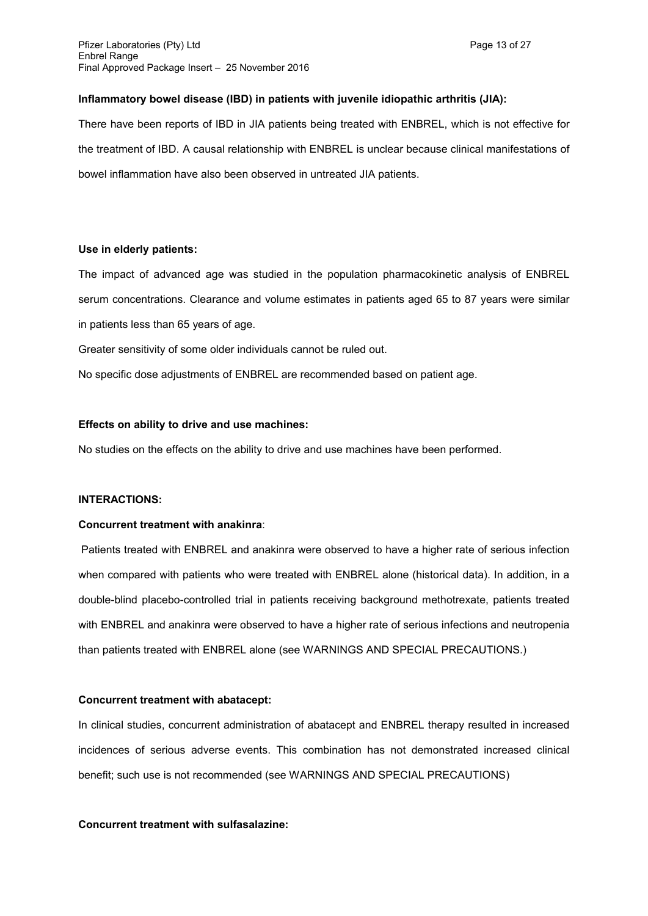## **Inflammatory bowel disease (IBD) in patients with juvenile idiopathic arthritis (JIA):**

There have been reports of IBD in JIA patients being treated with ENBREL, which is not effective for the treatment of IBD. A causal relationship with ENBREL is unclear because clinical manifestations of bowel inflammation have also been observed in untreated JIA patients.

## **Use in elderly patients:**

The impact of advanced age was studied in the population pharmacokinetic analysis of ENBREL serum concentrations. Clearance and volume estimates in patients aged 65 to 87 years were similar in patients less than 65 years of age.

Greater sensitivity of some older individuals cannot be ruled out.

No specific dose adjustments of ENBREL are recommended based on patient age.

## **Effects on ability to drive and use machines:**

No studies on the effects on the ability to drive and use machines have been performed.

## **INTERACTIONS:**

#### **Concurrent treatment with anakinra**:

Patients treated with ENBREL and anakinra were observed to have a higher rate of serious infection when compared with patients who were treated with ENBREL alone (historical data). In addition, in a double-blind placebo-controlled trial in patients receiving background methotrexate, patients treated with ENBREL and anakinra were observed to have a higher rate of serious infections and neutropenia than patients treated with ENBREL alone (see WARNINGS AND SPECIAL PRECAUTIONS.)

#### **Concurrent treatment with abatacept:**

In clinical studies, concurrent administration of abatacept and ENBREL therapy resulted in increased incidences of serious adverse events. This combination has not demonstrated increased clinical benefit; such use is not recommended (see WARNINGS AND SPECIAL PRECAUTIONS)

## **Concurrent treatment with sulfasalazine:**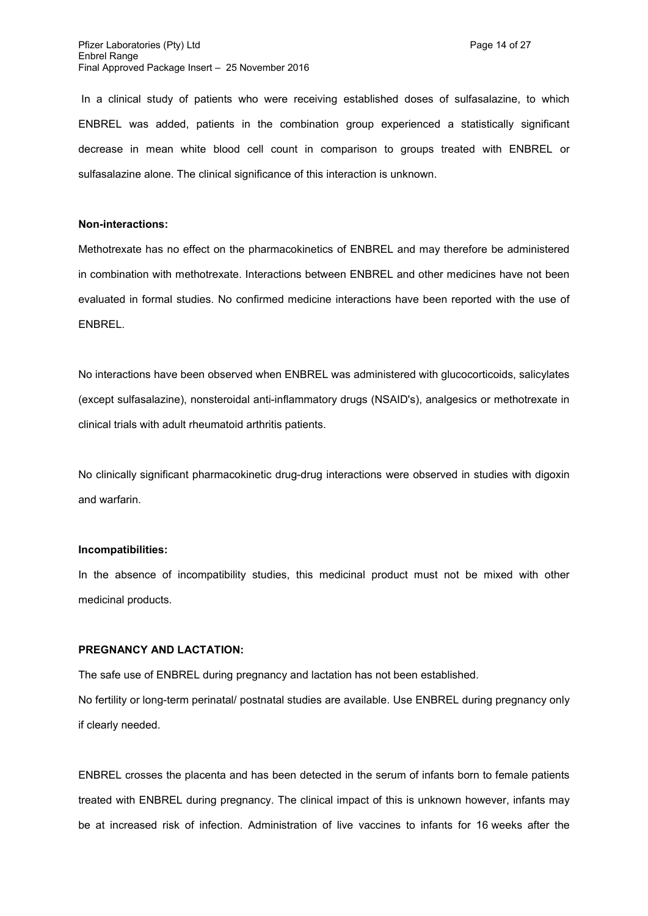In a clinical study of patients who were receiving established doses of sulfasalazine, to which ENBREL was added, patients in the combination group experienced a statistically significant decrease in mean white blood cell count in comparison to groups treated with ENBREL or sulfasalazine alone. The clinical significance of this interaction is unknown.

## **Non-interactions:**

Methotrexate has no effect on the pharmacokinetics of ENBREL and may therefore be administered in combination with methotrexate. Interactions between ENBREL and other medicines have not been evaluated in formal studies. No confirmed medicine interactions have been reported with the use of ENBREL.

No interactions have been observed when ENBREL was administered with glucocorticoids, salicylates (except sulfasalazine), nonsteroidal anti-inflammatory drugs (NSAID's), analgesics or methotrexate in clinical trials with adult rheumatoid arthritis patients.

No clinically significant pharmacokinetic drug-drug interactions were observed in studies with digoxin and warfarin.

#### **Incompatibilities:**

In the absence of incompatibility studies, this medicinal product must not be mixed with other medicinal products.

# **PREGNANCY AND LACTATION:**

The safe use of ENBREL during pregnancy and lactation has not been established. No fertility or long-term perinatal/ postnatal studies are available. Use ENBREL during pregnancy only if clearly needed.

ENBREL crosses the placenta and has been detected in the serum of infants born to female patients treated with ENBREL during pregnancy. The clinical impact of this is unknown however, infants may be at increased risk of infection. Administration of live vaccines to infants for 16 weeks after the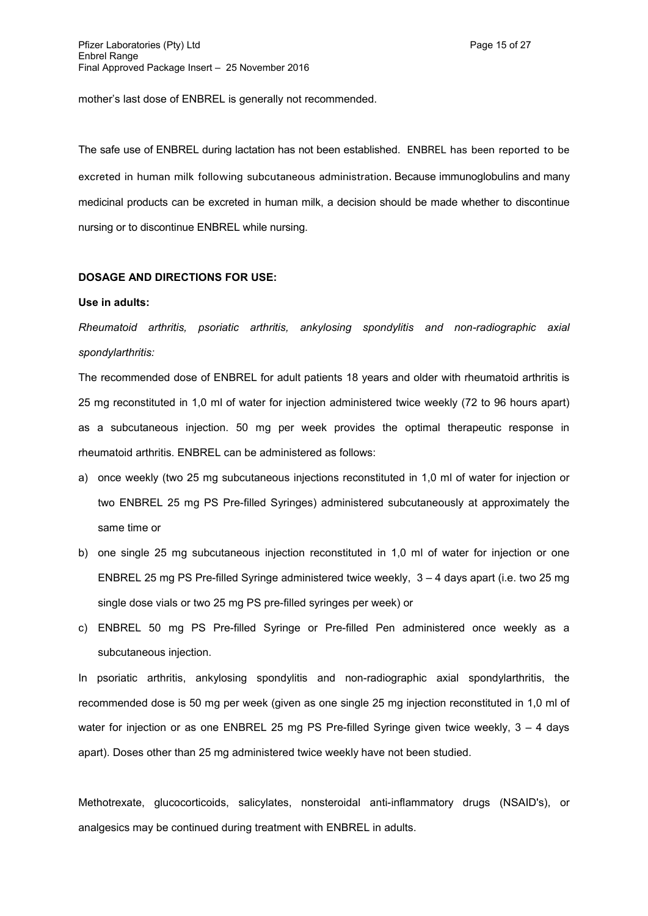mother's last dose of ENBREL is generally not recommended.

The safe use of ENBREL during lactation has not been established. ENBREL has been reported to be excreted in human milk following subcutaneous administration. Because immunoglobulins and many medicinal products can be excreted in human milk, a decision should be made whether to discontinue nursing or to discontinue ENBREL while nursing.

## **DOSAGE AND DIRECTIONS FOR USE:**

#### **Use in adults:**

*Rheumatoid arthritis, psoriatic arthritis, ankylosing spondylitis and non-radiographic axial spondylarthritis:*

The recommended dose of ENBREL for adult patients 18 years and older with rheumatoid arthritis is 25 mg reconstituted in 1,0 ml of water for injection administered twice weekly (72 to 96 hours apart) as a subcutaneous injection. 50 mg per week provides the optimal therapeutic response in rheumatoid arthritis. ENBREL can be administered as follows:

- a) once weekly (two 25 mg subcutaneous injections reconstituted in 1,0 ml of water for injection or two ENBREL 25 mg PS Pre-filled Syringes) administered subcutaneously at approximately the same time or
- b) one single 25 mg subcutaneous injection reconstituted in 1,0 ml of water for injection or one ENBREL 25 mg PS Pre-filled Syringe administered twice weekly, 3 – 4 days apart (i.e. two 25 mg single dose vials or two 25 mg PS pre-filled syringes per week) or
- c) ENBREL 50 mg PS Pre-filled Syringe or Pre-filled Pen administered once weekly as a subcutaneous injection.

In psoriatic arthritis, ankylosing spondylitis and non-radiographic axial spondylarthritis, the recommended dose is 50 mg per week (given as one single 25 mg injection reconstituted in 1,0 ml of water for injection or as one ENBREL 25 mg PS Pre-filled Syringe given twice weekly, 3 - 4 days apart). Doses other than 25 mg administered twice weekly have not been studied.

Methotrexate, glucocorticoids, salicylates, nonsteroidal anti-inflammatory drugs (NSAID's), or analgesics may be continued during treatment with ENBREL in adults.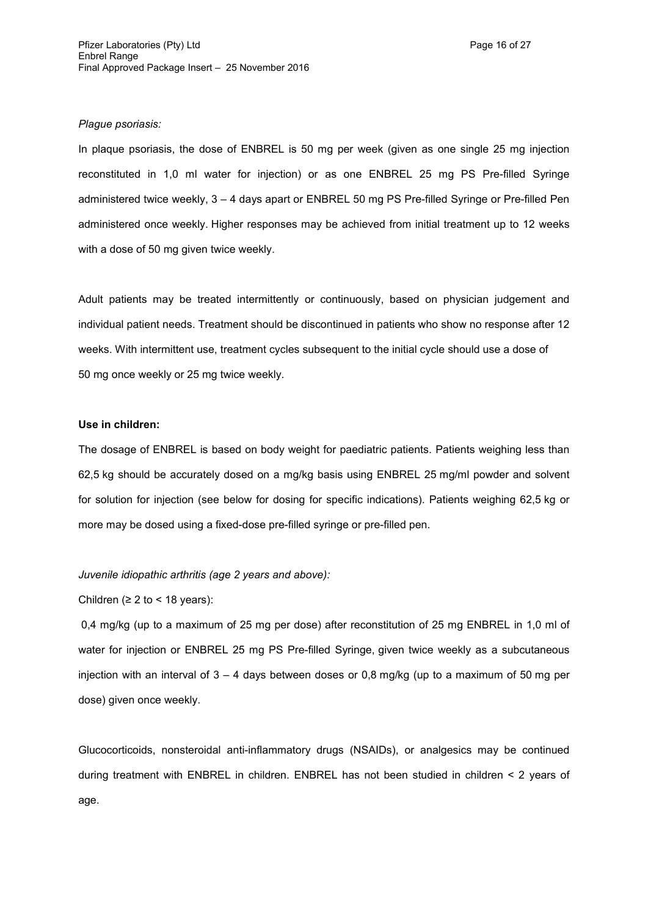## *Plague psoriasis:*

In plaque psoriasis, the dose of ENBREL is 50 mg per week (given as one single 25 mg injection reconstituted in 1,0 ml water for injection) or as one ENBREL 25 mg PS Pre-filled Syringe administered twice weekly, 3 – 4 days apart or ENBREL 50 mg PS Pre-filled Syringe or Pre-filled Pen administered once weekly. Higher responses may be achieved from initial treatment up to 12 weeks with a dose of 50 mg given twice weekly.

Adult patients may be treated intermittently or continuously, based on physician judgement and individual patient needs. Treatment should be discontinued in patients who show no response after 12 weeks. With intermittent use, treatment cycles subsequent to the initial cycle should use a dose of 50 mg once weekly or 25 mg twice weekly.

## **Use in children:**

The dosage of ENBREL is based on body weight for paediatric patients. Patients weighing less than 62,5 kg should be accurately dosed on a mg/kg basis using ENBREL 25 mg/ml powder and solvent for solution for injection (see below for dosing for specific indications). Patients weighing 62,5 kg or more may be dosed using a fixed-dose pre-filled syringe or pre-filled pen.

#### *Juvenile idiopathic arthritis (age 2 years and above):*

## Children ( $\geq 2$  to < 18 years):

0,4 mg/kg (up to a maximum of 25 mg per dose) after reconstitution of 25 mg ENBREL in 1,0 ml of water for injection or ENBREL 25 mg PS Pre-filled Syringe, given twice weekly as a subcutaneous injection with an interval of  $3 - 4$  days between doses or 0.8 mg/kg (up to a maximum of 50 mg per dose) given once weekly.

Glucocorticoids, nonsteroidal anti-inflammatory drugs (NSAIDs), or analgesics may be continued during treatment with ENBREL in children. ENBREL has not been studied in children < 2 years of age.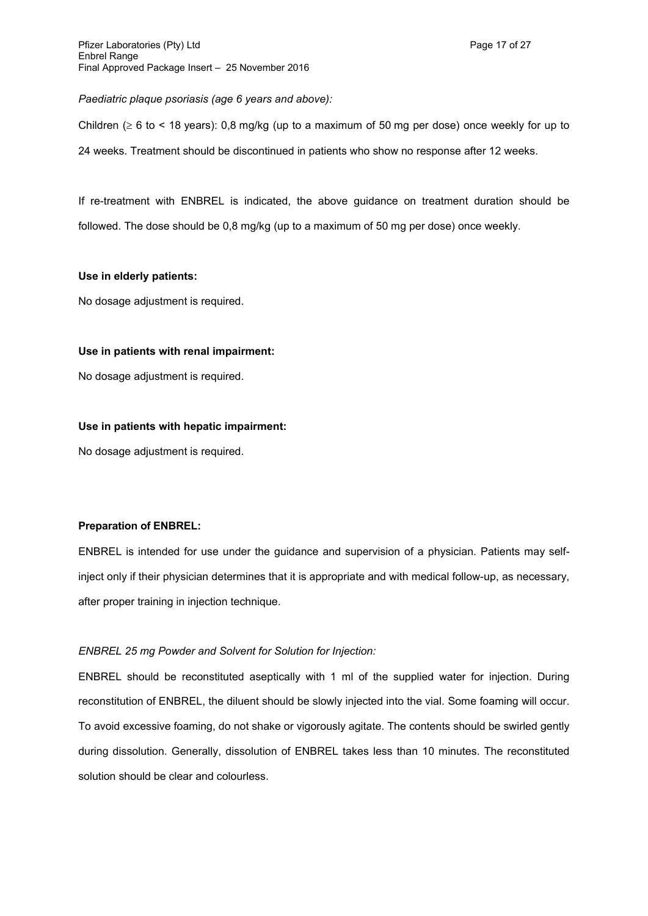*Paediatric plaque psoriasis (age 6 years and above):*

Children ( $\geq 6$  to < 18 years): 0,8 mg/kg (up to a maximum of 50 mg per dose) once weekly for up to 24 weeks. Treatment should be discontinued in patients who show no response after 12 weeks.

If re-treatment with ENBREL is indicated, the above guidance on treatment duration should be followed. The dose should be 0,8 mg/kg (up to a maximum of 50 mg per dose) once weekly.

## **Use in elderly patients:**

No dosage adjustment is required.

## **Use in patients with renal impairment:**

No dosage adjustment is required.

## **Use in patients with hepatic impairment:**

No dosage adjustment is required.

## **Preparation of ENBREL:**

ENBREL is intended for use under the guidance and supervision of a physician. Patients may selfinject only if their physician determines that it is appropriate and with medical follow-up, as necessary, after proper training in injection technique.

## *ENBREL 25 mg Powder and Solvent for Solution for Injection:*

ENBREL should be reconstituted aseptically with 1 ml of the supplied water for injection. During reconstitution of ENBREL, the diluent should be slowly injected into the vial. Some foaming will occur. To avoid excessive foaming, do not shake or vigorously agitate. The contents should be swirled gently during dissolution. Generally, dissolution of ENBREL takes less than 10 minutes. The reconstituted solution should be clear and colourless.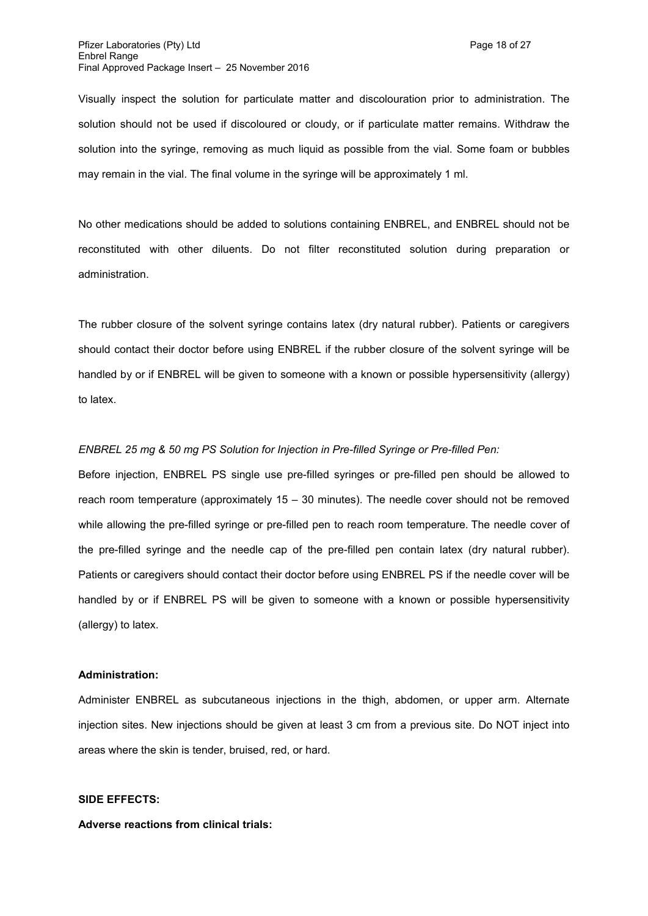Visually inspect the solution for particulate matter and discolouration prior to administration. The solution should not be used if discoloured or cloudy, or if particulate matter remains. Withdraw the solution into the syringe, removing as much liquid as possible from the vial. Some foam or bubbles may remain in the vial. The final volume in the syringe will be approximately 1 ml.

No other medications should be added to solutions containing ENBREL, and ENBREL should not be reconstituted with other diluents. Do not filter reconstituted solution during preparation or administration.

The rubber closure of the solvent syringe contains latex (dry natural rubber). Patients or caregivers should contact their doctor before using ENBREL if the rubber closure of the solvent syringe will be handled by or if ENBREL will be given to someone with a known or possible hypersensitivity (allergy) to latex.

#### *ENBREL 25 mg & 50 mg PS Solution for Injection in Pre-filled Syringe or Pre-filled Pen:*

Before injection, ENBREL PS single use pre-filled syringes or pre-filled pen should be allowed to reach room temperature (approximately 15 – 30 minutes). The needle cover should not be removed while allowing the pre-filled syringe or pre-filled pen to reach room temperature. The needle cover of the pre-filled syringe and the needle cap of the pre-filled pen contain latex (dry natural rubber). Patients or caregivers should contact their doctor before using ENBREL PS if the needle cover will be handled by or if ENBREL PS will be given to someone with a known or possible hypersensitivity (allergy) to latex.

## **Administration:**

Administer ENBREL as subcutaneous injections in the thigh, abdomen, or upper arm. Alternate injection sites. New injections should be given at least 3 cm from a previous site. Do NOT inject into areas where the skin is tender, bruised, red, or hard.

#### **SIDE EFFECTS:**

## **Adverse reactions from clinical trials:**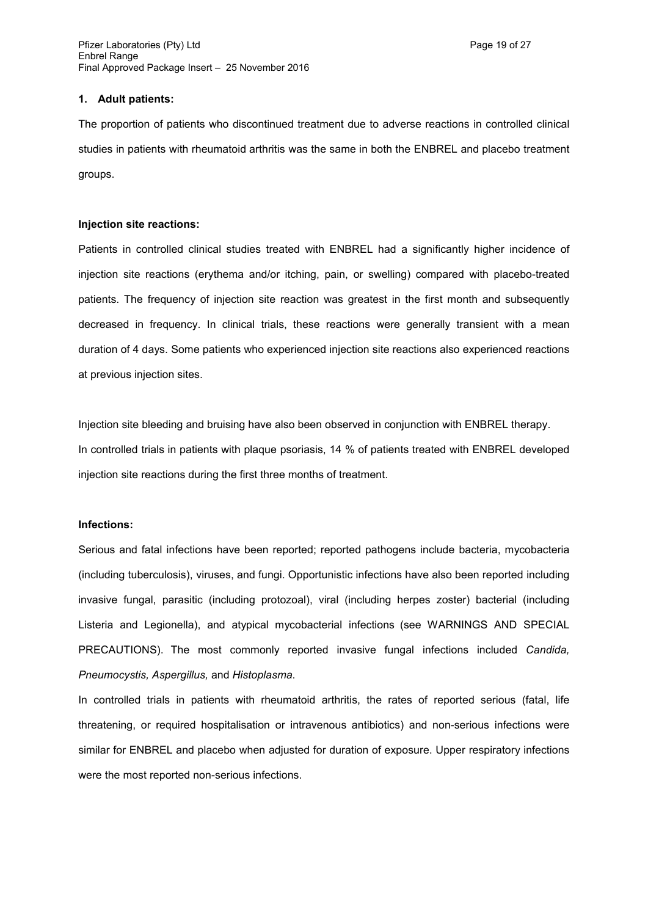## **1. Adult patients:**

The proportion of patients who discontinued treatment due to adverse reactions in controlled clinical studies in patients with rheumatoid arthritis was the same in both the ENBREL and placebo treatment groups.

## **Injection site reactions:**

Patients in controlled clinical studies treated with ENBREL had a significantly higher incidence of injection site reactions (erythema and/or itching, pain, or swelling) compared with placebo-treated patients. The frequency of injection site reaction was greatest in the first month and subsequently decreased in frequency. In clinical trials, these reactions were generally transient with a mean duration of 4 days. Some patients who experienced injection site reactions also experienced reactions at previous injection sites.

Injection site bleeding and bruising have also been observed in conjunction with ENBREL therapy. In controlled trials in patients with plaque psoriasis, 14 % of patients treated with ENBREL developed injection site reactions during the first three months of treatment.

#### **Infections:**

Serious and fatal infections have been reported; reported pathogens include bacteria, mycobacteria (including tuberculosis), viruses, and fungi. Opportunistic infections have also been reported including invasive fungal, parasitic (including protozoal), viral (including herpes zoster) bacterial (including Listeria and Legionella), and atypical mycobacterial infections (see WARNINGS AND SPECIAL PRECAUTIONS). The most commonly reported invasive fungal infections included *Candida, Pneumocystis, Aspergillus,* and *Histoplasma*.

In controlled trials in patients with rheumatoid arthritis, the rates of reported serious (fatal, life threatening, or required hospitalisation or intravenous antibiotics) and non-serious infections were similar for ENBREL and placebo when adjusted for duration of exposure. Upper respiratory infections were the most reported non-serious infections.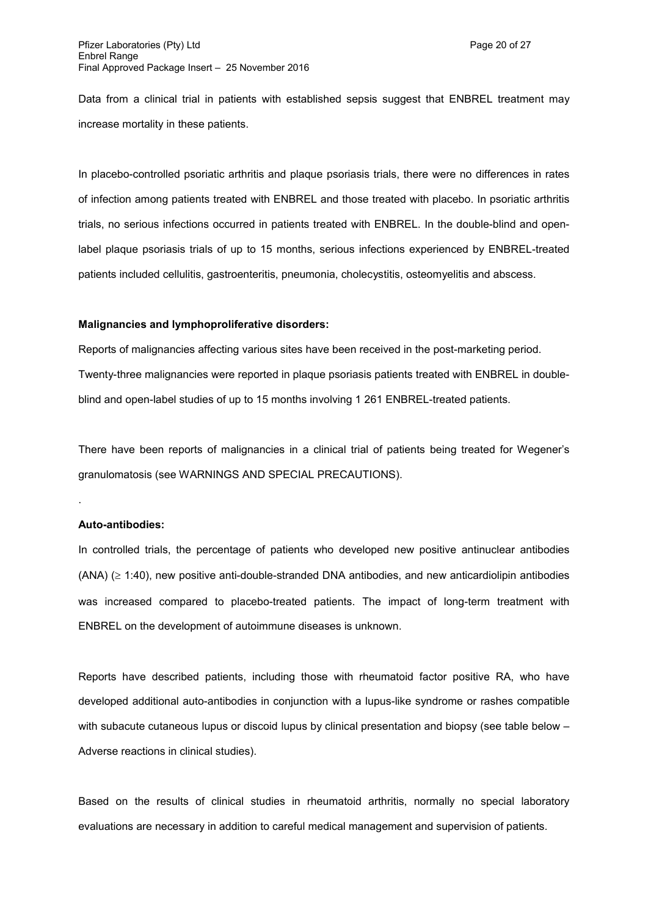Data from a clinical trial in patients with established sepsis suggest that ENBREL treatment may increase mortality in these patients.

In placebo-controlled psoriatic arthritis and plaque psoriasis trials, there were no differences in rates of infection among patients treated with ENBREL and those treated with placebo. In psoriatic arthritis trials, no serious infections occurred in patients treated with ENBREL. In the double-blind and openlabel plaque psoriasis trials of up to 15 months, serious infections experienced by ENBREL-treated patients included cellulitis, gastroenteritis, pneumonia, cholecystitis, osteomyelitis and abscess.

#### **Malignancies and lymphoproliferative disorders:**

Reports of malignancies affecting various sites have been received in the post-marketing period. Twenty-three malignancies were reported in plaque psoriasis patients treated with ENBREL in doubleblind and open-label studies of up to 15 months involving 1 261 ENBREL-treated patients.

There have been reports of malignancies in a clinical trial of patients being treated for Wegener's granulomatosis (see WARNINGS AND SPECIAL PRECAUTIONS).

#### **Auto-antibodies:**

.

In controlled trials, the percentage of patients who developed new positive antinuclear antibodies  $(ANA)$  ( $\geq$  1:40), new positive anti-double-stranded DNA antibodies, and new anticardiolipin antibodies was increased compared to placebo-treated patients. The impact of long-term treatment with ENBREL on the development of autoimmune diseases is unknown.

Reports have described patients, including those with rheumatoid factor positive RA, who have developed additional auto-antibodies in conjunction with a lupus-like syndrome or rashes compatible with subacute cutaneous lupus or discoid lupus by clinical presentation and biopsy (see table below – Adverse reactions in clinical studies).

Based on the results of clinical studies in rheumatoid arthritis, normally no special laboratory evaluations are necessary in addition to careful medical management and supervision of patients.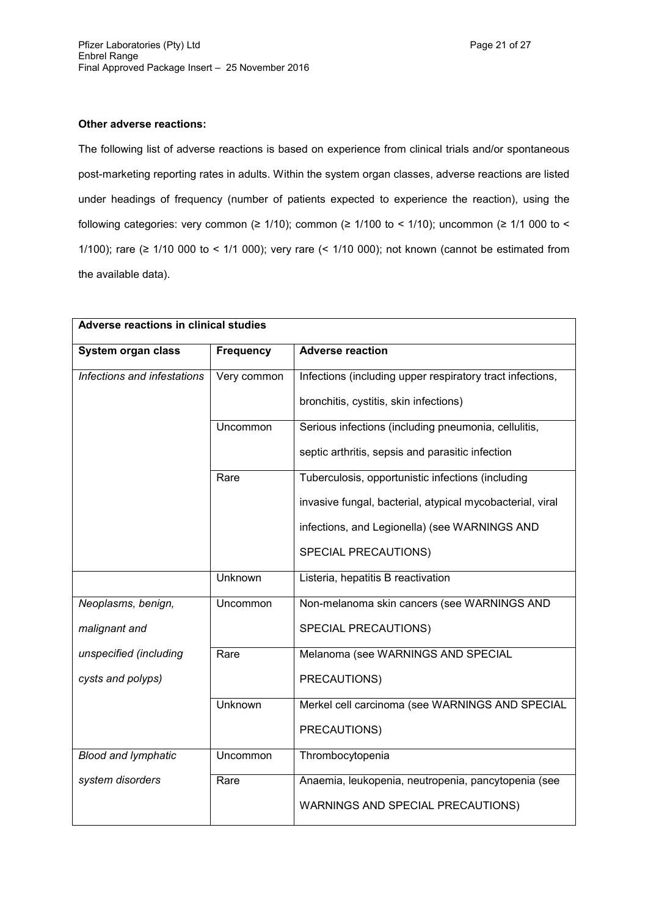The following list of adverse reactions is based on experience from clinical trials and/or spontaneous post-marketing reporting rates in adults. Within the system organ classes, adverse reactions are listed under headings of frequency (number of patients expected to experience the reaction), using the following categories: very common ( $\geq$  1/10); common ( $\geq$  1/100 to < 1/10); uncommon ( $\geq$  1/1 000 to < 1/100); rare (≥ 1/10 000 to < 1/1 000); very rare (< 1/10 000); not known (cannot be estimated from the available data).

| Adverse reactions in clinical studies |                  |                                                           |  |
|---------------------------------------|------------------|-----------------------------------------------------------|--|
| System organ class                    | <b>Frequency</b> | <b>Adverse reaction</b>                                   |  |
| Infections and infestations           | Very common      | Infections (including upper respiratory tract infections, |  |
|                                       |                  | bronchitis, cystitis, skin infections)                    |  |
|                                       | Uncommon         | Serious infections (including pneumonia, cellulitis,      |  |
|                                       |                  | septic arthritis, sepsis and parasitic infection          |  |
|                                       | Rare             | Tuberculosis, opportunistic infections (including         |  |
|                                       |                  | invasive fungal, bacterial, atypical mycobacterial, viral |  |
|                                       |                  | infections, and Legionella) (see WARNINGS AND             |  |
|                                       |                  | SPECIAL PRECAUTIONS)                                      |  |
|                                       | Unknown          | Listeria, hepatitis B reactivation                        |  |
| Neoplasms, benign,                    | Uncommon         | Non-melanoma skin cancers (see WARNINGS AND               |  |
| malignant and                         |                  | SPECIAL PRECAUTIONS)                                      |  |
| unspecified (including                | Rare             | Melanoma (see WARNINGS AND SPECIAL                        |  |
| cysts and polyps)                     |                  | PRECAUTIONS)                                              |  |
|                                       | <b>Unknown</b>   | Merkel cell carcinoma (see WARNINGS AND SPECIAL           |  |
|                                       |                  | PRECAUTIONS)                                              |  |
| <b>Blood and lymphatic</b>            | Uncommon         | Thrombocytopenia                                          |  |
| system disorders                      | Rare             | Anaemia, leukopenia, neutropenia, pancytopenia (see       |  |
|                                       |                  | WARNINGS AND SPECIAL PRECAUTIONS)                         |  |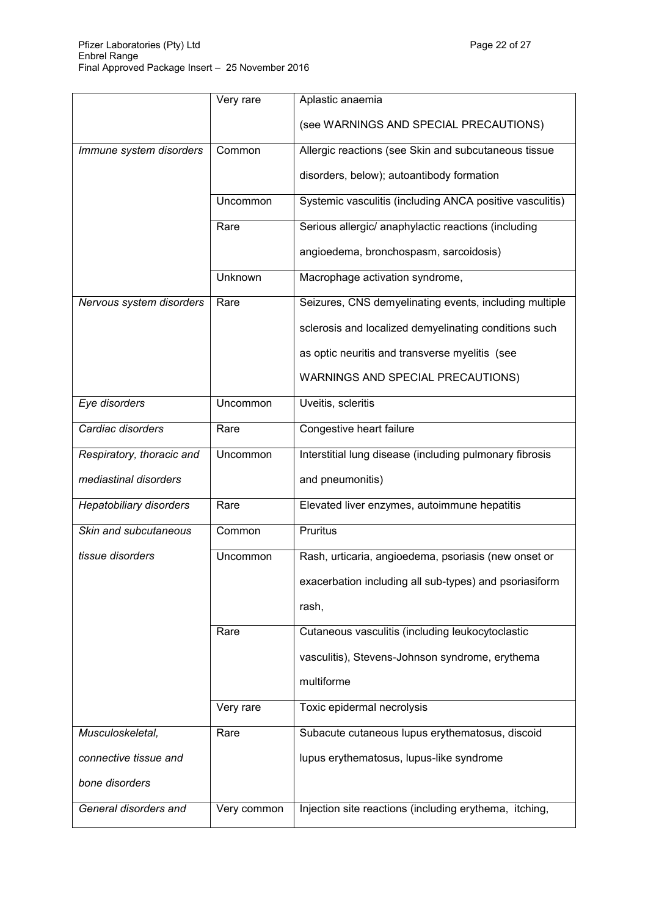|                           | Very rare   | Aplastic anaemia                                         |
|---------------------------|-------------|----------------------------------------------------------|
|                           |             | (see WARNINGS AND SPECIAL PRECAUTIONS)                   |
| Immune system disorders   | Common      | Allergic reactions (see Skin and subcutaneous tissue     |
|                           |             | disorders, below); autoantibody formation                |
|                           | Uncommon    | Systemic vasculitis (including ANCA positive vasculitis) |
|                           | Rare        | Serious allergic/ anaphylactic reactions (including      |
|                           |             | angioedema, bronchospasm, sarcoidosis)                   |
|                           | Unknown     | Macrophage activation syndrome,                          |
| Nervous system disorders  | Rare        | Seizures, CNS demyelinating events, including multiple   |
|                           |             | sclerosis and localized demyelinating conditions such    |
|                           |             | as optic neuritis and transverse myelitis (see           |
|                           |             | WARNINGS AND SPECIAL PRECAUTIONS)                        |
| Eye disorders             | Uncommon    | Uveitis, scleritis                                       |
| Cardiac disorders         | Rare        | Congestive heart failure                                 |
| Respiratory, thoracic and | Uncommon    | Interstitial lung disease (including pulmonary fibrosis  |
| mediastinal disorders     |             | and pneumonitis)                                         |
| Hepatobiliary disorders   | Rare        | Elevated liver enzymes, autoimmune hepatitis             |
| Skin and subcutaneous     | Common      | Pruritus                                                 |
| tissue disorders          | Uncommon    | Rash, urticaria, angioedema, psoriasis (new onset or     |
|                           |             | exacerbation including all sub-types) and psoriasiform   |
|                           |             | rash,                                                    |
|                           | Rare        | Cutaneous vasculitis (including leukocytoclastic         |
|                           |             | vasculitis), Stevens-Johnson syndrome, erythema          |
|                           |             | multiforme                                               |
|                           | Very rare   | Toxic epidermal necrolysis                               |
| Musculoskeletal,          | Rare        | Subacute cutaneous lupus erythematosus, discoid          |
| connective tissue and     |             | lupus erythematosus, lupus-like syndrome                 |
| bone disorders            |             |                                                          |
| General disorders and     | Very common | Injection site reactions (including erythema, itching,   |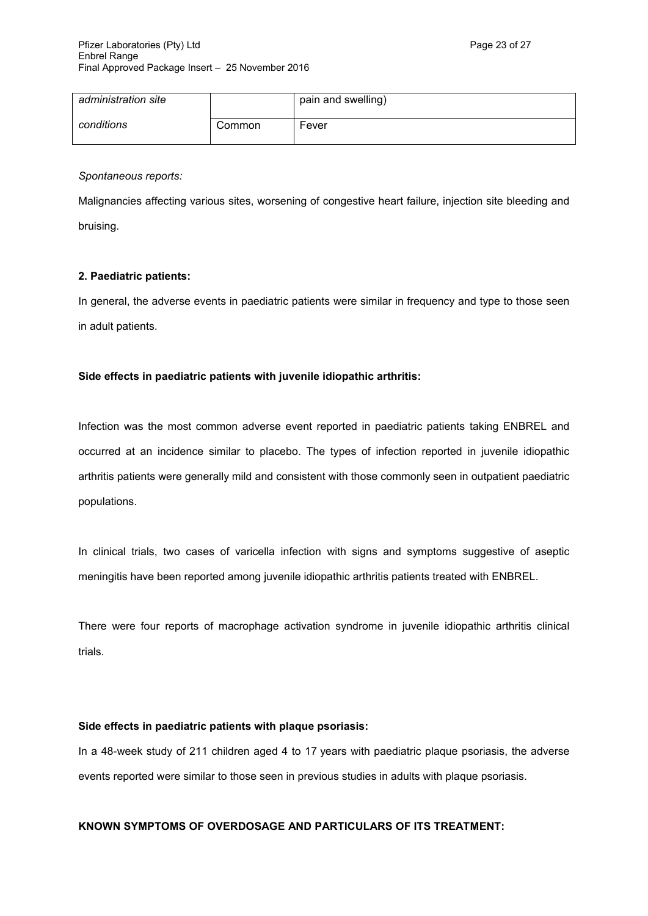| administration site |        | pain and swelling) |
|---------------------|--------|--------------------|
| conditions          | Common | Fever              |

*Spontaneous reports:*

Malignancies affecting various sites, worsening of congestive heart failure, injection site bleeding and bruising.

## **2. Paediatric patients:**

In general, the adverse events in paediatric patients were similar in frequency and type to those seen in adult patients.

# **Side effects in paediatric patients with juvenile idiopathic arthritis:**

Infection was the most common adverse event reported in paediatric patients taking ENBREL and occurred at an incidence similar to placebo. The types of infection reported in juvenile idiopathic arthritis patients were generally mild and consistent with those commonly seen in outpatient paediatric populations.

In clinical trials, two cases of varicella infection with signs and symptoms suggestive of aseptic meningitis have been reported among juvenile idiopathic arthritis patients treated with ENBREL.

There were four reports of macrophage activation syndrome in juvenile idiopathic arthritis clinical trials.

## **Side effects in paediatric patients with plaque psoriasis:**

In a 48-week study of 211 children aged 4 to 17 years with paediatric plaque psoriasis, the adverse events reported were similar to those seen in previous studies in adults with plaque psoriasis.

## **KNOWN SYMPTOMS OF OVERDOSAGE AND PARTICULARS OF ITS TREATMENT:**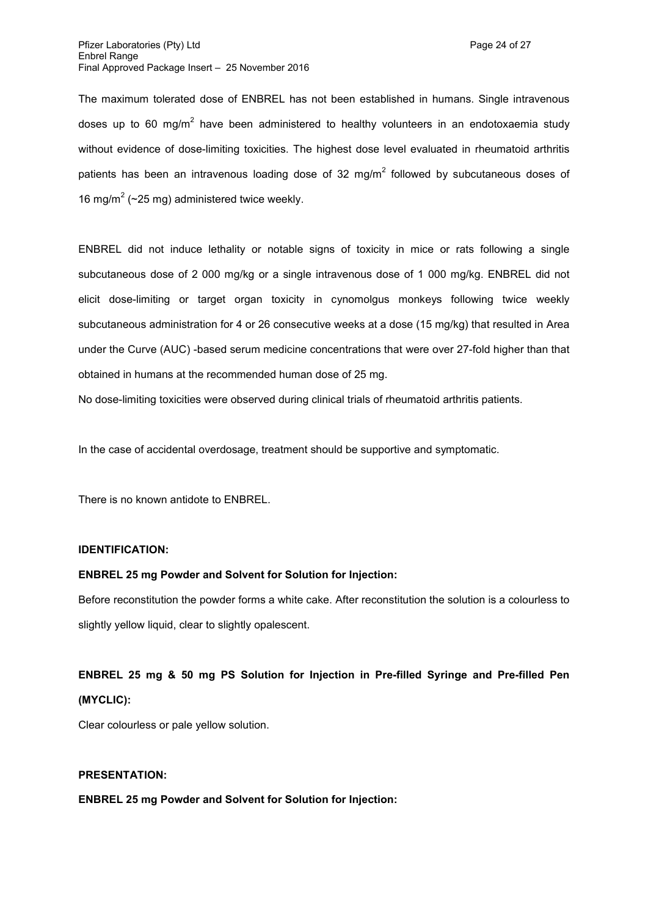The maximum tolerated dose of ENBREL has not been established in humans. Single intravenous doses up to 60 mg/m<sup>2</sup> have been administered to healthy volunteers in an endotoxaemia study without evidence of dose-limiting toxicities. The highest dose level evaluated in rheumatoid arthritis patients has been an intravenous loading dose of 32 mg/m<sup>2</sup> followed by subcutaneous doses of 16 mg/m<sup>2</sup> (~25 mg) administered twice weekly.

ENBREL did not induce lethality or notable signs of toxicity in mice or rats following a single subcutaneous dose of 2 000 mg/kg or a single intravenous dose of 1 000 mg/kg. ENBREL did not elicit dose-limiting or target organ toxicity in cynomolgus monkeys following twice weekly subcutaneous administration for 4 or 26 consecutive weeks at a dose (15 mg/kg) that resulted in Area under the Curve (AUC) -based serum medicine concentrations that were over 27-fold higher than that obtained in humans at the recommended human dose of 25 mg.

No dose-limiting toxicities were observed during clinical trials of rheumatoid arthritis patients.

In the case of accidental overdosage, treatment should be supportive and symptomatic.

There is no known antidote to ENBREL.

#### **IDENTIFICATION:**

#### **ENBREL 25 mg Powder and Solvent for Solution for Injection:**

Before reconstitution the powder forms a white cake. After reconstitution the solution is a colourless to slightly yellow liquid, clear to slightly opalescent.

# **ENBREL 25 mg & 50 mg PS Solution for Injection in Pre-filled Syringe and Pre-filled Pen (MYCLIC):**

Clear colourless or pale yellow solution.

#### **PRESENTATION:**

**ENBREL 25 mg Powder and Solvent for Solution for Injection:**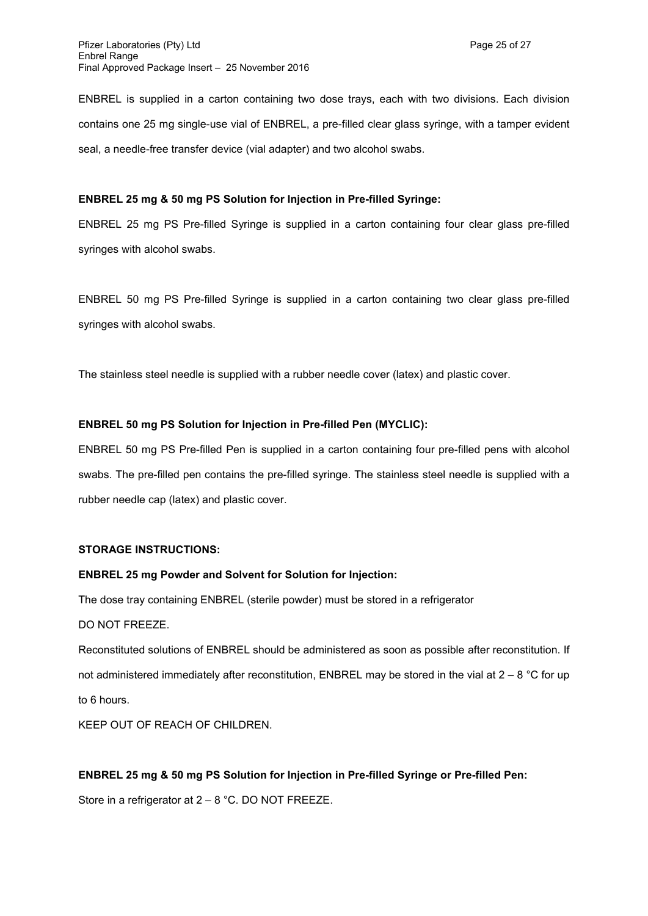ENBREL is supplied in a carton containing two dose trays, each with two divisions. Each division contains one 25 mg single-use vial of ENBREL, a pre-filled clear glass syringe, with a tamper evident seal, a needle-free transfer device (vial adapter) and two alcohol swabs.

## **ENBREL 25 mg & 50 mg PS Solution for Injection in Pre-filled Syringe:**

ENBREL 25 mg PS Pre-filled Syringe is supplied in a carton containing four clear glass pre-filled syringes with alcohol swabs.

ENBREL 50 mg PS Pre-filled Syringe is supplied in a carton containing two clear glass pre-filled syringes with alcohol swabs.

The stainless steel needle is supplied with a rubber needle cover (latex) and plastic cover.

## **ENBREL 50 mg PS Solution for Injection in Pre-filled Pen (MYCLIC):**

ENBREL 50 mg PS Pre-filled Pen is supplied in a carton containing four pre-filled pens with alcohol swabs. The pre-filled pen contains the pre-filled syringe. The stainless steel needle is supplied with a rubber needle cap (latex) and plastic cover.

#### **STORAGE INSTRUCTIONS:**

## **ENBREL 25 mg Powder and Solvent for Solution for Injection:**

The dose tray containing ENBREL (sterile powder) must be stored in a refrigerator

DO NOT FREEZE.

Reconstituted solutions of ENBREL should be administered as soon as possible after reconstitution. If not administered immediately after reconstitution, ENBREL may be stored in the vial at  $2 - 8$  °C for up to 6 hours.

KEEP OUT OF REACH OF CHILDREN.

#### **ENBREL 25 mg & 50 mg PS Solution for Injection in Pre-filled Syringe or Pre-filled Pen:**

Store in a refrigerator at 2 – 8 °C. DO NOT FREEZE.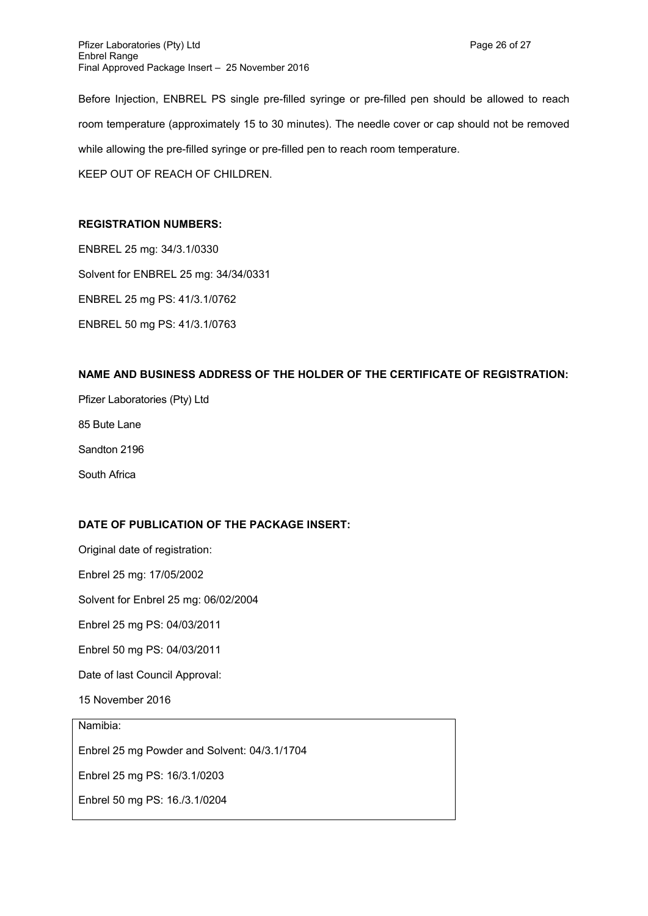Before Injection, ENBREL PS single pre-filled syringe or pre-filled pen should be allowed to reach room temperature (approximately 15 to 30 minutes). The needle cover or cap should not be removed while allowing the pre-filled syringe or pre-filled pen to reach room temperature. KEEP OUT OF REACH OF CHILDREN.

## **REGISTRATION NUMBERS:**

ENBREL 25 mg: 34/3.1/0330 Solvent for ENBREL 25 mg: 34/34/0331 ENBREL 25 mg PS: 41/3.1/0762 ENBREL 50 mg PS: 41/3.1/0763

## **NAME AND BUSINESS ADDRESS OF THE HOLDER OF THE CERTIFICATE OF REGISTRATION:**

Pfizer Laboratories (Pty) Ltd 85 Bute Lane Sandton 2196 South Africa

# **DATE OF PUBLICATION OF THE PACKAGE INSERT:**

Original date of registration:

Enbrel 25 mg: 17/05/2002

Solvent for Enbrel 25 mg: 06/02/2004

Enbrel 25 mg PS: 04/03/2011

Enbrel 50 mg PS: 04/03/2011

Date of last Council Approval:

15 November 2016

Namibia:

Enbrel 25 mg Powder and Solvent: 04/3.1/1704

Enbrel 25 mg PS: 16/3.1/0203

Enbrel 50 mg PS: 16./3.1/0204